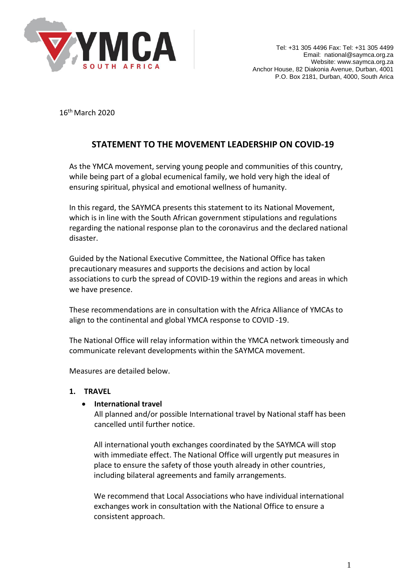

16th March 2020

# **STATEMENT TO THE MOVEMENT LEADERSHIP ON COVID-19**

As the YMCA movement, serving young people and communities of this country, while being part of a global ecumenical family, we hold very high the ideal of ensuring spiritual, physical and emotional wellness of humanity.

In this regard, the SAYMCA presents this statement to its National Movement, which is in line with the South African government stipulations and regulations regarding the national response plan to the coronavirus and the declared national disaster.

Guided by the National Executive Committee, the National Office has taken precautionary measures and supports the decisions and action by local associations to curb the spread of COVID-19 within the regions and areas in which we have presence.

These recommendations are in consultation with the Africa Alliance of YMCAs to align to the continental and global YMCA response to COVID -19.

The National Office will relay information within the YMCA network timeously and communicate relevant developments within the SAYMCA movement.

Measures are detailed below.

## **1. TRAVEL**

## • **International travel**

All planned and/or possible International travel by National staff has been cancelled until further notice.

All international youth exchanges coordinated by the SAYMCA will stop with immediate effect. The National Office will urgently put measures in place to ensure the safety of those youth already in other countries, including bilateral agreements and family arrangements.

We recommend that Local Associations who have individual international exchanges work in consultation with the National Office to ensure a consistent approach.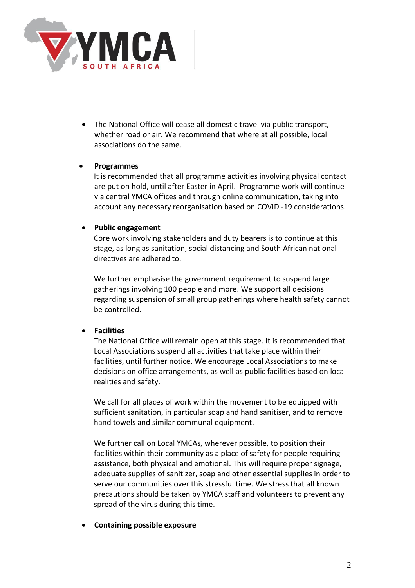

• The National Office will cease all domestic travel via public transport, whether road or air. We recommend that where at all possible, local associations do the same.

### • **Programmes**

It is recommended that all programme activities involving physical contact are put on hold, until after Easter in April. Programme work will continue via central YMCA offices and through online communication, taking into account any necessary reorganisation based on COVID -19 considerations.

## • **Public engagement**

Core work involving stakeholders and duty bearers is to continue at this stage, as long as sanitation, social distancing and South African national directives are adhered to.

We further emphasise the government requirement to suspend large gatherings involving 100 people and more. We support all decisions regarding suspension of small group gatherings where health safety cannot be controlled.

## • **Facilities**

The National Office will remain open at this stage. It is recommended that Local Associations suspend all activities that take place within their facilities, until further notice. We encourage Local Associations to make decisions on office arrangements, as well as public facilities based on local realities and safety.

We call for all places of work within the movement to be equipped with sufficient sanitation, in particular soap and hand sanitiser, and to remove hand towels and similar communal equipment.

We further call on Local YMCAs, wherever possible, to position their facilities within their community as a place of safety for people requiring assistance, both physical and emotional. This will require proper signage, adequate supplies of sanitizer, soap and other essential supplies in order to serve our communities over this stressful time. We stress that all known precautions should be taken by YMCA staff and volunteers to prevent any spread of the virus during this time.

#### • **Containing possible exposure**